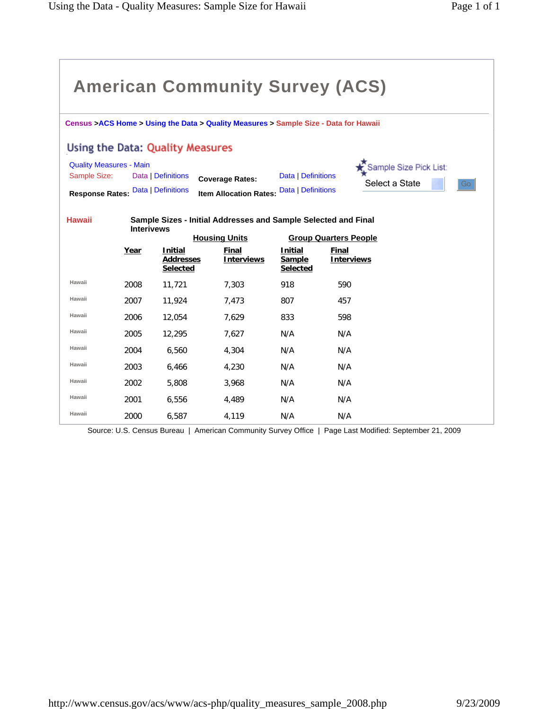| <b>American Community Survey (ACS)</b>                                               |                   |                                                       |                                                                                        |                                             |                                                |  |  |  |  |  |  |  |  |
|--------------------------------------------------------------------------------------|-------------------|-------------------------------------------------------|----------------------------------------------------------------------------------------|---------------------------------------------|------------------------------------------------|--|--|--|--|--|--|--|--|
| Census >ACS Home > Using the Data > Quality Measures > Sample Size - Data for Hawaii |                   |                                                       |                                                                                        |                                             |                                                |  |  |  |  |  |  |  |  |
| Using the Data: Quality Measures                                                     |                   |                                                       |                                                                                        |                                             |                                                |  |  |  |  |  |  |  |  |
| <b>Quality Measures - Main</b><br>Sample Size:<br><b>Response Rates:</b>             |                   | Data   Definitions<br>Data   Definitions              | <b>Coverage Rates:</b><br><b>Item Allocation Rates:</b>                                | Data   Definitions<br>Data   Definitions    | Sample Size Pick List:<br>Select a State<br>Go |  |  |  |  |  |  |  |  |
| <b>Hawaii</b>                                                                        | <b>Interivews</b> |                                                       | Sample Sizes - Initial Addresses and Sample Selected and Final<br><b>Housing Units</b> |                                             | <b>Group Quarters People</b>                   |  |  |  |  |  |  |  |  |
|                                                                                      | Year              | <b>Initial</b><br><b>Addresses</b><br><b>Selected</b> | Final<br><b>Interviews</b>                                                             | <b>Initial</b><br>Sample<br><b>Selected</b> | Final<br><b>Interviews</b>                     |  |  |  |  |  |  |  |  |
| Hawaii                                                                               | 2008              | 11,721                                                | 7,303                                                                                  | 918                                         | 590                                            |  |  |  |  |  |  |  |  |
| Hawaii                                                                               | 2007              | 11.924                                                | 7.473                                                                                  | 807                                         | 457                                            |  |  |  |  |  |  |  |  |
| Hawaii                                                                               | 2006              | 12,054                                                | 7,629                                                                                  | 833                                         | 598                                            |  |  |  |  |  |  |  |  |
| Hawaii                                                                               | 2005              | 12,295                                                | 7.627                                                                                  | N/A                                         | N/A                                            |  |  |  |  |  |  |  |  |
| Hawaii                                                                               | 2004              | 6,560                                                 | 4,304                                                                                  | N/A                                         | N/A                                            |  |  |  |  |  |  |  |  |
| Hawaii                                                                               | 2003              | 6,466                                                 | 4,230                                                                                  | N/A                                         | N/A                                            |  |  |  |  |  |  |  |  |
| Hawaii                                                                               | 2002              | 5,808                                                 | 3,968                                                                                  | N/A                                         | N/A                                            |  |  |  |  |  |  |  |  |
| Hawaii                                                                               | 2001              | 6,556                                                 | 4,489                                                                                  | N/A                                         | N/A                                            |  |  |  |  |  |  |  |  |
| Hawaii                                                                               | 2000              | 6,587                                                 | 4,119                                                                                  | N/A                                         | N/A                                            |  |  |  |  |  |  |  |  |

Source: U.S. Census Bureau | American Community Survey Office | Page Last Modified: September 21, 2009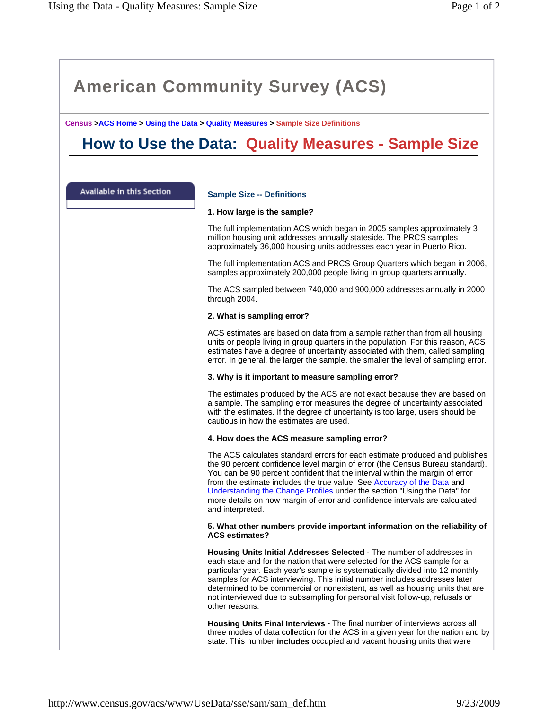**Census >ACS Home > Using the Data > Quality Measures > Sample Size Definitions**

# **How to Use the Data: Quality Measures - Sample Size**

Available in this Section

# **Sample Size -- Definitions**

# **1. How large is the sample?**

The full implementation ACS which began in 2005 samples approximately 3 million housing unit addresses annually stateside. The PRCS samples approximately 36,000 housing units addresses each year in Puerto Rico.

The full implementation ACS and PRCS Group Quarters which began in 2006, samples approximately 200,000 people living in group quarters annually.

The ACS sampled between 740,000 and 900,000 addresses annually in 2000 through 2004.

### **2. What is sampling error?**

ACS estimates are based on data from a sample rather than from all housing units or people living in group quarters in the population. For this reason, ACS estimates have a degree of uncertainty associated with them, called sampling error. In general, the larger the sample, the smaller the level of sampling error.

# **3. Why is it important to measure sampling error?**

The estimates produced by the ACS are not exact because they are based on a sample. The sampling error measures the degree of uncertainty associated with the estimates. If the degree of uncertainty is too large, users should be cautious in how the estimates are used.

# **4. How does the ACS measure sampling error?**

The ACS calculates standard errors for each estimate produced and publishes the 90 percent confidence level margin of error (the Census Bureau standard). You can be 90 percent confident that the interval within the margin of error from the estimate includes the true value. See Accuracy of the Data and Understanding the Change Profiles under the section "Using the Data" for more details on how margin of error and confidence intervals are calculated and interpreted.

### **5. What other numbers provide important information on the reliability of ACS estimates?**

**Housing Units Initial Addresses Selected** - The number of addresses in each state and for the nation that were selected for the ACS sample for a particular year. Each year's sample is systematically divided into 12 monthly samples for ACS interviewing. This initial number includes addresses later determined to be commercial or nonexistent, as well as housing units that are not interviewed due to subsampling for personal visit follow-up, refusals or other reasons.

**Housing Units Final Interviews** - The final number of interviews across all three modes of data collection for the ACS in a given year for the nation and by state. This number **includes** occupied and vacant housing units that were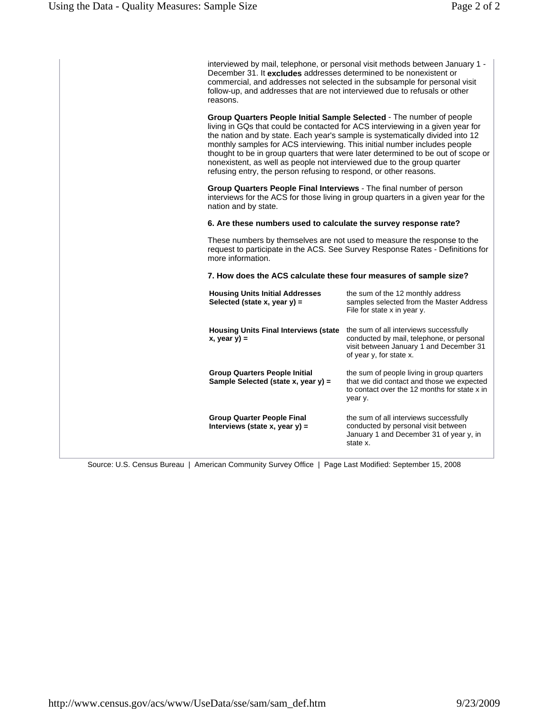| interviewed by mail, telephone, or personal visit methods between January 1 -<br>December 31. It excludes addresses determined to be nonexistent or<br>commercial, and addresses not selected in the subsample for personal visit<br>follow-up, and addresses that are not interviewed due to refusals or other<br>reasons.<br>Group Quarters People Initial Sample Selected - The number of people<br>living in GQs that could be contacted for ACS interviewing in a given year for<br>the nation and by state. Each year's sample is systematically divided into 12<br>monthly samples for ACS interviewing. This initial number includes people<br>nonexistent, as well as people not interviewed due to the group quarter<br>refusing entry, the person refusing to respond, or other reasons.<br>Group Quarters People Final Interviews - The final number of person<br>interviews for the ACS for those living in group quarters in a given year for the<br>nation and by state.<br>6. Are these numbers used to calculate the survey response rate?<br>These numbers by themselves are not used to measure the response to the<br>request to participate in the ACS. See Survey Response Rates - Definitions for<br>more information.<br>7. How does the ACS calculate these four measures of sample size?<br>the sum of the 12 monthly address<br><b>Housing Units Initial Addresses</b><br>samples selected from the Master Address<br>Selected (state x, year $y$ ) =<br>File for state x in year y.<br>the sum of all interviews successfully<br><b>Housing Units Final Interviews (state</b><br>conducted by mail, telephone, or personal<br>$x, year y) =$<br>visit between January 1 and December 31<br>of year y, for state x.<br>the sum of people living in group quarters<br><b>Group Quarters People Initial</b><br>that we did contact and those we expected<br>Sample Selected (state x, year y) =<br>to contact over the 12 months for state x in<br>year y.<br>the sum of all interviews successfully<br><b>Group Quarter People Final</b> |                                                                                  |
|--------------------------------------------------------------------------------------------------------------------------------------------------------------------------------------------------------------------------------------------------------------------------------------------------------------------------------------------------------------------------------------------------------------------------------------------------------------------------------------------------------------------------------------------------------------------------------------------------------------------------------------------------------------------------------------------------------------------------------------------------------------------------------------------------------------------------------------------------------------------------------------------------------------------------------------------------------------------------------------------------------------------------------------------------------------------------------------------------------------------------------------------------------------------------------------------------------------------------------------------------------------------------------------------------------------------------------------------------------------------------------------------------------------------------------------------------------------------------------------------------------------------------------------------------------------------------------------------------------------------------------------------------------------------------------------------------------------------------------------------------------------------------------------------------------------------------------------------------------------------------------------------------------------------------------------------------------------------------------------------------------------------------------------------------------------------|----------------------------------------------------------------------------------|
|                                                                                                                                                                                                                                                                                                                                                                                                                                                                                                                                                                                                                                                                                                                                                                                                                                                                                                                                                                                                                                                                                                                                                                                                                                                                                                                                                                                                                                                                                                                                                                                                                                                                                                                                                                                                                                                                                                                                                                                                                                                                    |                                                                                  |
|                                                                                                                                                                                                                                                                                                                                                                                                                                                                                                                                                                                                                                                                                                                                                                                                                                                                                                                                                                                                                                                                                                                                                                                                                                                                                                                                                                                                                                                                                                                                                                                                                                                                                                                                                                                                                                                                                                                                                                                                                                                                    | thought to be in group quarters that were later determined to be out of scope or |
|                                                                                                                                                                                                                                                                                                                                                                                                                                                                                                                                                                                                                                                                                                                                                                                                                                                                                                                                                                                                                                                                                                                                                                                                                                                                                                                                                                                                                                                                                                                                                                                                                                                                                                                                                                                                                                                                                                                                                                                                                                                                    |                                                                                  |
|                                                                                                                                                                                                                                                                                                                                                                                                                                                                                                                                                                                                                                                                                                                                                                                                                                                                                                                                                                                                                                                                                                                                                                                                                                                                                                                                                                                                                                                                                                                                                                                                                                                                                                                                                                                                                                                                                                                                                                                                                                                                    |                                                                                  |
|                                                                                                                                                                                                                                                                                                                                                                                                                                                                                                                                                                                                                                                                                                                                                                                                                                                                                                                                                                                                                                                                                                                                                                                                                                                                                                                                                                                                                                                                                                                                                                                                                                                                                                                                                                                                                                                                                                                                                                                                                                                                    |                                                                                  |
|                                                                                                                                                                                                                                                                                                                                                                                                                                                                                                                                                                                                                                                                                                                                                                                                                                                                                                                                                                                                                                                                                                                                                                                                                                                                                                                                                                                                                                                                                                                                                                                                                                                                                                                                                                                                                                                                                                                                                                                                                                                                    |                                                                                  |
|                                                                                                                                                                                                                                                                                                                                                                                                                                                                                                                                                                                                                                                                                                                                                                                                                                                                                                                                                                                                                                                                                                                                                                                                                                                                                                                                                                                                                                                                                                                                                                                                                                                                                                                                                                                                                                                                                                                                                                                                                                                                    |                                                                                  |
|                                                                                                                                                                                                                                                                                                                                                                                                                                                                                                                                                                                                                                                                                                                                                                                                                                                                                                                                                                                                                                                                                                                                                                                                                                                                                                                                                                                                                                                                                                                                                                                                                                                                                                                                                                                                                                                                                                                                                                                                                                                                    |                                                                                  |
|                                                                                                                                                                                                                                                                                                                                                                                                                                                                                                                                                                                                                                                                                                                                                                                                                                                                                                                                                                                                                                                                                                                                                                                                                                                                                                                                                                                                                                                                                                                                                                                                                                                                                                                                                                                                                                                                                                                                                                                                                                                                    |                                                                                  |
| January 1 and December 31 of year y, in<br>state x.                                                                                                                                                                                                                                                                                                                                                                                                                                                                                                                                                                                                                                                                                                                                                                                                                                                                                                                                                                                                                                                                                                                                                                                                                                                                                                                                                                                                                                                                                                                                                                                                                                                                                                                                                                                                                                                                                                                                                                                                                | conducted by personal visit between<br>Interviews (state x, year $y$ ) =         |

Source: U.S. Census Bureau | American Community Survey Office | Page Last Modified: September 15, 2008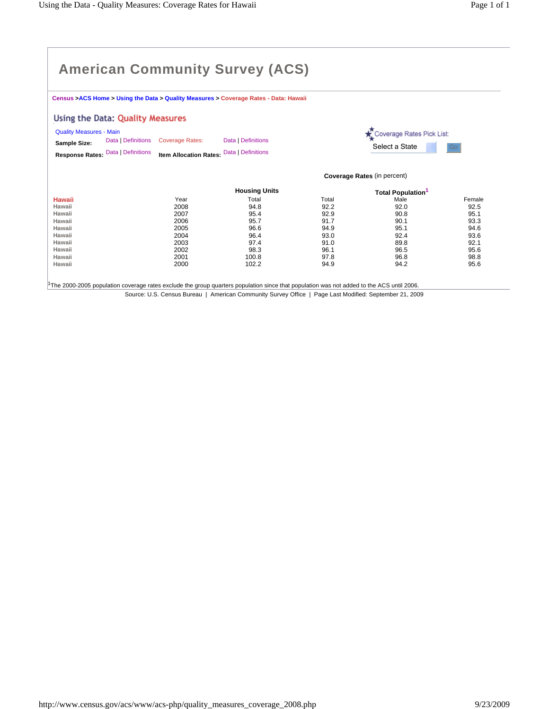**Census >ACS Home > Using the Data > Quality Measures > Coverage Rates - Data: Hawaii** 

### Using the Data: Quality Measures

| <b>Quality Measures - Main</b> |                                                                              |                    | Coverage Rates Pick List:   |    |
|--------------------------------|------------------------------------------------------------------------------|--------------------|-----------------------------|----|
| Sample Size:                   | Data   Definitions Coverage Rates:                                           | Data   Definitions | <sup>l</sup> Select a State | Go |
|                                | Response Rates: Data   Definitions Item Allocation Rates: Data   Definitions |                    |                             |    |

**Coverage Rates** (in percent)

|               |      | <b>Housing Units</b> |       | <b>Total Population</b> |        |
|---------------|------|----------------------|-------|-------------------------|--------|
| <b>Hawaii</b> | Year | Total                | Total | Male                    | Female |
| Hawaii        | 2008 | 94.8                 | 92.2  | 92.0                    | 92.5   |
| Hawaii        | 2007 | 95.4                 | 92.9  | 90.8                    | 95.1   |
| Hawaii        | 2006 | 95.7                 | 91.7  | 90.1                    | 93.3   |
| Hawaii        | 2005 | 96.6                 | 94.9  | 95.1                    | 94.6   |
| Hawaii        | 2004 | 96.4                 | 93.0  | 92.4                    | 93.6   |
| Hawaii        | 2003 | 97.4                 | 91.0  | 89.8                    | 92.1   |
| Hawaii        | 2002 | 98.3                 | 96.1  | 96.5                    | 95.6   |
| Hawaii        | 2001 | 100.8                | 97.8  | 96.8                    | 98.8   |
| Hawaii        | 2000 | 102.2                | 94.9  | 94.2                    | 95.6   |

Source: U.S. Census Bureau | American Community Survey Office | Page Last Modified: September 21, 2009 1The 2000-2005 population coverage rates exclude the group quarters population since that population was not added to the ACS until 2006.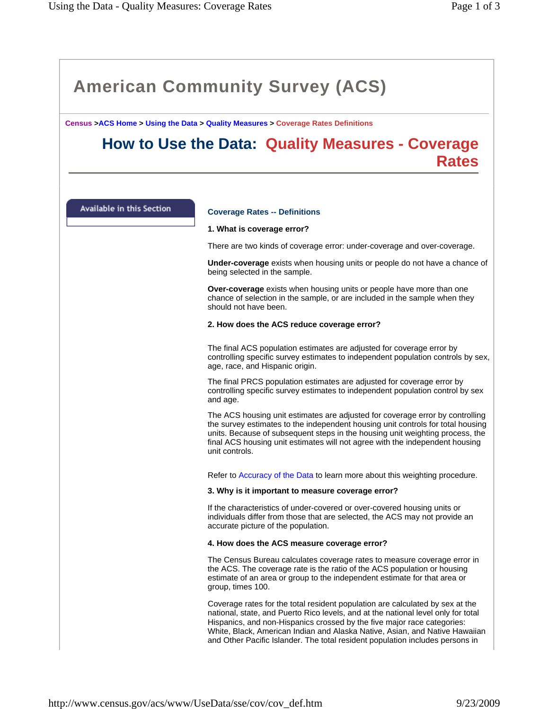**Census >ACS Home > Using the Data > Quality Measures > Coverage Rates Definitions**

# **How to Use the Data: Quality Measures - Coverage Rates**

Available in this Section

# **Coverage Rates -- Definitions**

### **1. What is coverage error?**

There are two kinds of coverage error: under-coverage and over-coverage.

**Under-coverage** exists when housing units or people do not have a chance of being selected in the sample.

**Over-coverage** exists when housing units or people have more than one chance of selection in the sample, or are included in the sample when they should not have been.

### **2. How does the ACS reduce coverage error?**

The final ACS population estimates are adjusted for coverage error by controlling specific survey estimates to independent population controls by sex, age, race, and Hispanic origin.

The final PRCS population estimates are adjusted for coverage error by controlling specific survey estimates to independent population control by sex and age.

The ACS housing unit estimates are adjusted for coverage error by controlling the survey estimates to the independent housing unit controls for total housing units. Because of subsequent steps in the housing unit weighting process, the final ACS housing unit estimates will not agree with the independent housing unit controls.

Refer to Accuracy of the Data to learn more about this weighting procedure.

#### **3. Why is it important to measure coverage error?**

If the characteristics of under-covered or over-covered housing units or individuals differ from those that are selected, the ACS may not provide an accurate picture of the population.

#### **4. How does the ACS measure coverage error?**

The Census Bureau calculates coverage rates to measure coverage error in the ACS. The coverage rate is the ratio of the ACS population or housing estimate of an area or group to the independent estimate for that area or group, times 100.

Coverage rates for the total resident population are calculated by sex at the national, state, and Puerto Rico levels, and at the national level only for total Hispanics, and non-Hispanics crossed by the five major race categories: White, Black, American Indian and Alaska Native, Asian, and Native Hawaiian and Other Pacific Islander. The total resident population includes persons in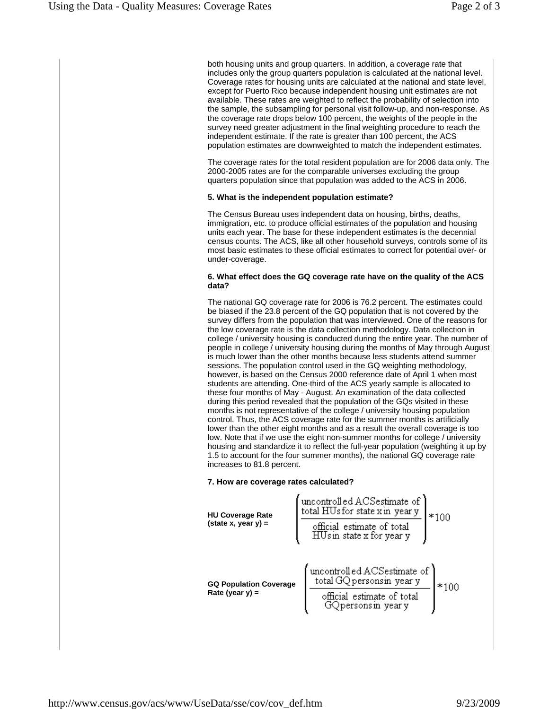both housing units and group quarters. In addition, a coverage rate that includes only the group quarters population is calculated at the national level. Coverage rates for housing units are calculated at the national and state level, except for Puerto Rico because independent housing unit estimates are not available. These rates are weighted to reflect the probability of selection into the sample, the subsampling for personal visit follow-up, and non-response. As the coverage rate drops below 100 percent, the weights of the people in the survey need greater adjustment in the final weighting procedure to reach the independent estimate. If the rate is greater than 100 percent, the ACS population estimates are downweighted to match the independent estimates.

The coverage rates for the total resident population are for 2006 data only. The 2000-2005 rates are for the comparable universes excluding the group quarters population since that population was added to the ACS in 2006.

### **5. What is the independent population estimate?**

The Census Bureau uses independent data on housing, births, deaths, immigration, etc. to produce official estimates of the population and housing units each year. The base for these independent estimates is the decennial census counts. The ACS, like all other household surveys, controls some of its most basic estimates to these official estimates to correct for potential over- or under-coverage.

### **6. What effect does the GQ coverage rate have on the quality of the ACS data?**

The national GQ coverage rate for 2006 is 76.2 percent. The estimates could be biased if the 23.8 percent of the GQ population that is not covered by the survey differs from the population that was interviewed. One of the reasons for the low coverage rate is the data collection methodology. Data collection in college / university housing is conducted during the entire year. The number of people in college / university housing during the months of May through August is much lower than the other months because less students attend summer sessions. The population control used in the GQ weighting methodology, however, is based on the Census 2000 reference date of April 1 when most students are attending. One-third of the ACS yearly sample is allocated to these four months of May - August. An examination of the data collected during this period revealed that the population of the GQs visited in these months is not representative of the college / university housing population control. Thus, the ACS coverage rate for the summer months is artificially lower than the other eight months and as a result the overall coverage is too low. Note that if we use the eight non-summer months for college / university housing and standardize it to reflect the full-year population (weighting it up by 1.5 to account for the four summer months), the national GQ coverage rate increases to 81.8 percent.

# **7. How are coverage rates calculated?**

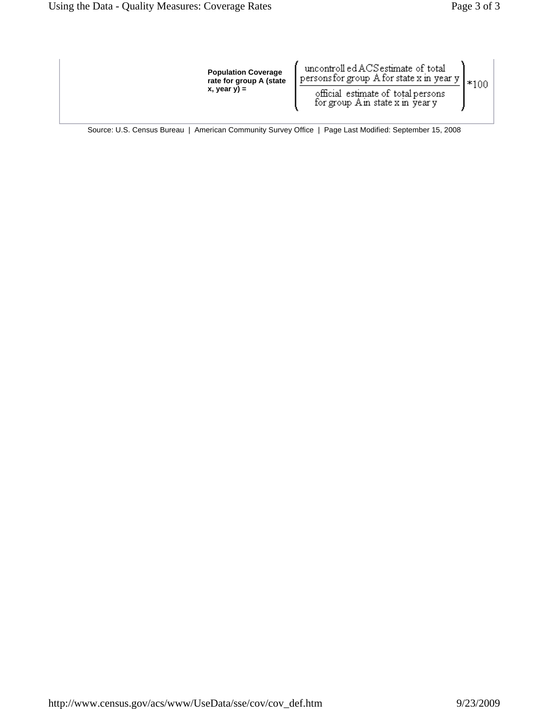| <b>Population Coverage</b><br>rate for group A (state<br>$x,$ year $y$ ) = | uncontroll ed ACS estimate of total<br>persons for group $A$ for state x in year y<br>official estimate of total persons<br>for group Ain state x in year y |  |
|----------------------------------------------------------------------------|-------------------------------------------------------------------------------------------------------------------------------------------------------------|--|
|                                                                            |                                                                                                                                                             |  |

Source: U.S. Census Bureau | American Community Survey Office | Page Last Modified: September 15, 2008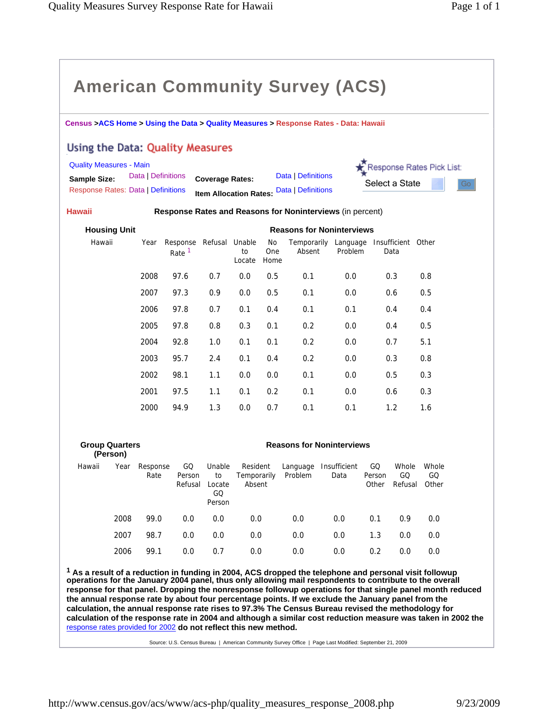|                                                         |                                                                                      |                    |                         |                                        |                                   |                          | <b>American Community Survey (ACS)</b>                    |                      |                                                 |                      |    |  |  |
|---------------------------------------------------------|--------------------------------------------------------------------------------------|--------------------|-------------------------|----------------------------------------|-----------------------------------|--------------------------|-----------------------------------------------------------|----------------------|-------------------------------------------------|----------------------|----|--|--|
|                                                         | Census >ACS Home > Using the Data > Quality Measures > Response Rates - Data: Hawaii |                    |                         |                                        |                                   |                          |                                                           |                      |                                                 |                      |    |  |  |
| Using the Data: Quality Measures                        |                                                                                      |                    |                         |                                        |                                   |                          |                                                           |                      |                                                 |                      |    |  |  |
| <b>Quality Measures - Main</b>                          |                                                                                      |                    |                         |                                        |                                   |                          |                                                           |                      | Response Rates Pick List:                       |                      |    |  |  |
| <b>Sample Size:</b>                                     |                                                                                      | Data   Definitions |                         | <b>Coverage Rates:</b>                 |                                   |                          | Data   Definitions                                        |                      | Select a State                                  |                      | Go |  |  |
| <b>Response Rates: Data   Definitions</b>               |                                                                                      |                    |                         |                                        |                                   |                          | <b>Item Allocation Rates: Data   Definitions</b>          |                      |                                                 |                      |    |  |  |
| <b>Hawaii</b>                                           |                                                                                      |                    |                         |                                        |                                   |                          | Response Rates and Reasons for Noninterviews (in percent) |                      |                                                 |                      |    |  |  |
| <b>Housing Unit</b><br><b>Reasons for Noninterviews</b> |                                                                                      |                    |                         |                                        |                                   |                          |                                                           |                      |                                                 |                      |    |  |  |
| Hawaii                                                  |                                                                                      | Year               | Response<br>Rate $1$    | Refusal                                | Unable<br>to<br>Locate            | No<br><b>One</b><br>Home | Absent                                                    | Problem              | Temporarily Language Insufficient Other<br>Data |                      |    |  |  |
|                                                         |                                                                                      | 2008               | 97.6                    | 0.7                                    | 0.0                               | 0.5                      | 0.1                                                       | 0.0                  | 0.3                                             | 0.8                  |    |  |  |
|                                                         |                                                                                      | 2007               | 97.3                    | 0.9                                    | 0.0                               | 0.5                      | 0.1                                                       | 0.0                  | 0.6                                             | 0.5                  |    |  |  |
|                                                         |                                                                                      | 2006               | 97.8                    | 0.7                                    | 0.1                               | 0.4                      | 0.1                                                       | 0.1                  | 0.4                                             | 0.4                  |    |  |  |
|                                                         |                                                                                      | 2005               | 97.8                    | 0.8                                    | 0.3                               | 0.1                      | 0.2                                                       | 0.0                  | 0.4                                             | 0.5                  |    |  |  |
|                                                         |                                                                                      | 2004               | 92.8                    | 1.0                                    | 0.1                               | 0.1                      | 0.2                                                       | 0.0                  | 0.7                                             | 5.1                  |    |  |  |
|                                                         |                                                                                      | 2003               | 95.7                    | 2.4                                    | 0.1                               | 0.4                      | 0.2                                                       | 0.0                  | 0.3                                             | 0.8                  |    |  |  |
|                                                         |                                                                                      | 2002               | 98.1                    | 1.1                                    | 0.0                               | 0.0                      | 0.1                                                       | 0.0                  | 0.5                                             | 0.3                  |    |  |  |
|                                                         |                                                                                      | 2001               | 97.5                    | 1.1                                    | 0.1                               | 0.2                      | 0.1                                                       | 0.0                  | 0.6                                             | 0.3                  |    |  |  |
|                                                         |                                                                                      | 2000               | 94.9                    | 1.3                                    | 0.0                               | 0.7                      | 0.1                                                       | 0.1                  | 1.2                                             | 1.6                  |    |  |  |
|                                                         |                                                                                      |                    |                         |                                        |                                   |                          |                                                           |                      |                                                 |                      |    |  |  |
|                                                         | <b>Group Quarters</b><br>(Person)                                                    |                    |                         |                                        |                                   |                          | <b>Reasons for Noninterviews</b>                          |                      |                                                 |                      |    |  |  |
| Hawaii                                                  | Year                                                                                 | Response<br>Rate   | GQ<br>Person<br>Refusal | Unable<br>to<br>Locate<br>GQ<br>Person | Resident<br>Temporarily<br>Absent |                          | Language<br>Problem                                       | Insufficient<br>Data | GQ<br>Whole<br>Person<br>GQ<br>Refusal<br>Other | Whole<br>GQ<br>Other |    |  |  |
|                                                         | 2008                                                                                 | 99.0               | 0.0                     | 0.0                                    | $0.0\,$                           |                          | 0.0                                                       | 0.0                  | 0.1<br>0.9                                      | 0.0                  |    |  |  |
|                                                         | 2007                                                                                 | 98.7               | 0.0                     | 0.0                                    | 0.0                               |                          | 0.0                                                       | 0.0                  | 1.3<br>0.0                                      | $0.0\,$              |    |  |  |

**1 As a result of a reduction in funding in 2004, ACS dropped the telephone and personal visit followup operations for the January 2004 panel, thus only allowing mail respondents to contribute to the overall response for that panel. Dropping the nonresponse followup operations for that single panel month reduced the annual response rate by about four percentage points. If we exclude the January panel from the calculation, the annual response rate rises to 97.3% The Census Bureau revised the methodology for calculation of the response rate in 2004 and although a similar cost reduction measure was taken in 2002 the**  response rates provided for 2002 **do not reflect this new method.** 

2006 99.1 0.0 0.7 0.0 0.0 0.0 0.2 0.0 0.0

Source: U.S. Census Bureau | American Community Survey Office | Page Last Modified: September 21, 2009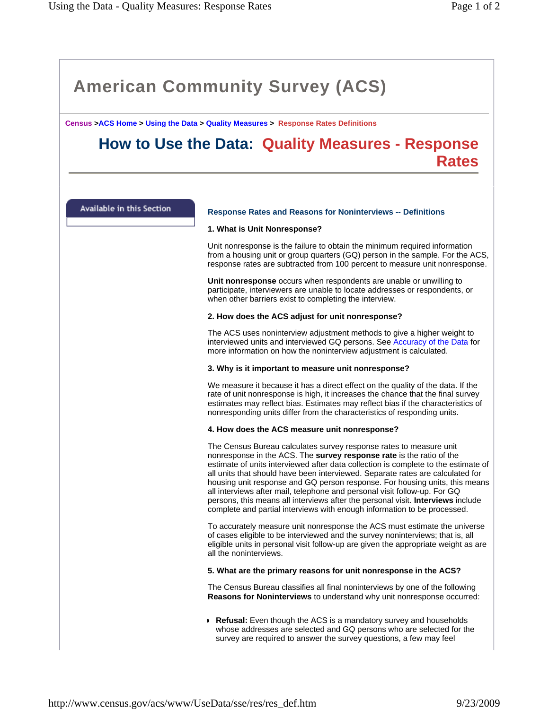**Census >ACS Home > Using the Data > Quality Measures > Response Rates Definitions**

# **How to Use the Data: Quality Measures - Response Rates**

Available in this Section

# **Response Rates and Reasons for Noninterviews -- Definitions**

# **1. What is Unit Nonresponse?**

Unit nonresponse is the failure to obtain the minimum required information from a housing unit or group quarters (GQ) person in the sample. For the ACS, response rates are subtracted from 100 percent to measure unit nonresponse.

**Unit nonresponse** occurs when respondents are unable or unwilling to participate, interviewers are unable to locate addresses or respondents, or when other barriers exist to completing the interview.

# **2. How does the ACS adjust for unit nonresponse?**

The ACS uses noninterview adjustment methods to give a higher weight to interviewed units and interviewed GQ persons. See Accuracy of the Data for more information on how the noninterview adjustment is calculated.

# **3. Why is it important to measure unit nonresponse?**

We measure it because it has a direct effect on the quality of the data. If the rate of unit nonresponse is high, it increases the chance that the final survey estimates may reflect bias. Estimates may reflect bias if the characteristics of nonresponding units differ from the characteristics of responding units.

#### **4. How does the ACS measure unit nonresponse?**

The Census Bureau calculates survey response rates to measure unit nonresponse in the ACS. The **survey response rate** is the ratio of the estimate of units interviewed after data collection is complete to the estimate of all units that should have been interviewed. Separate rates are calculated for housing unit response and GQ person response. For housing units, this means all interviews after mail, telephone and personal visit follow-up. For GQ persons, this means all interviews after the personal visit. **Interviews** include complete and partial interviews with enough information to be processed.

To accurately measure unit nonresponse the ACS must estimate the universe of cases eligible to be interviewed and the survey noninterviews; that is, all eligible units in personal visit follow-up are given the appropriate weight as are all the noninterviews.

# **5. What are the primary reasons for unit nonresponse in the ACS?**

The Census Bureau classifies all final noninterviews by one of the following **Reasons for Noninterviews** to understand why unit nonresponse occurred:

**Refusal:** Even though the ACS is a mandatory survey and households whose addresses are selected and GQ persons who are selected for the survey are required to answer the survey questions, a few may feel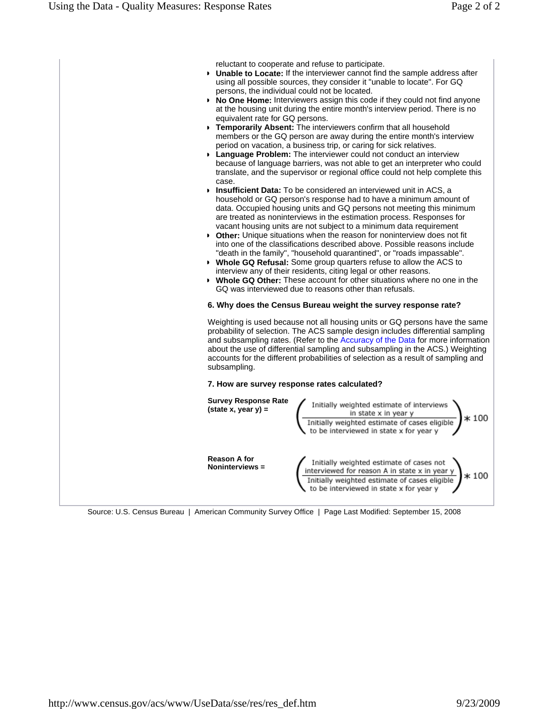reluctant to cooperate and refuse to participate.

- **Unable to Locate:** If the interviewer cannot find the sample address after using all possible sources, they consider it "unable to locate". For GQ persons, the individual could not be located.
- **No One Home:** Interviewers assign this code if they could not find anyone at the housing unit during the entire month's interview period. There is no equivalent rate for GQ persons.
- **Temporarily Absent:** The interviewers confirm that all household members or the GQ person are away during the entire month's interview period on vacation, a business trip, or caring for sick relatives.
- **Language Problem:** The interviewer could not conduct an interview because of language barriers, was not able to get an interpreter who could translate, and the supervisor or regional office could not help complete this case.
- **Insufficient Data:** To be considered an interviewed unit in ACS, a household or GQ person's response had to have a minimum amount of data. Occupied housing units and GQ persons not meeting this minimum are treated as noninterviews in the estimation process. Responses for vacant housing units are not subject to a minimum data requirement
- **Other:** Unique situations when the reason for noninterview does not fit into one of the classifications described above. Possible reasons include "death in the family", "household quarantined", or "roads impassable".
- **Whole GQ Refusal:** Some group quarters refuse to allow the ACS to interview any of their residents, citing legal or other reasons.
- **Whole GQ Other:** These account for other situations where no one in the GQ was interviewed due to reasons other than refusals.

# **6. Why does the Census Bureau weight the survey response rate?**

Weighting is used because not all housing units or GQ persons have the same probability of selection. The ACS sample design includes differential sampling and subsampling rates. (Refer to the Accuracy of the Data for more information about the use of differential sampling and subsampling in the ACS.) Weighting accounts for the different probabilities of selection as a result of sampling and subsampling.

# **7. How are survey response rates calculated?**



Source: U.S. Census Bureau | American Community Survey Office | Page Last Modified: September 15, 2008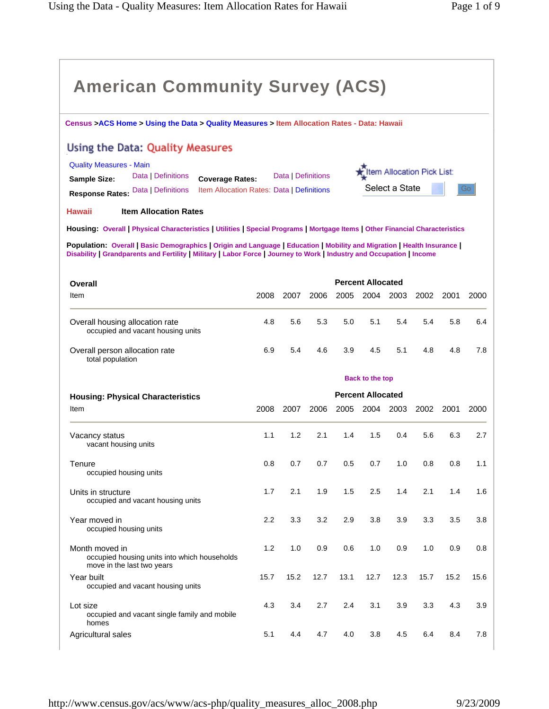| <b>American Community Survey (ACS)</b>                                                                                                                                                                                                            |       |                    |      |      |                          |                |                            |      |      |
|---------------------------------------------------------------------------------------------------------------------------------------------------------------------------------------------------------------------------------------------------|-------|--------------------|------|------|--------------------------|----------------|----------------------------|------|------|
| Census >ACS Home > Using the Data > Quality Measures > Item Allocation Rates - Data: Hawaii                                                                                                                                                       |       |                    |      |      |                          |                |                            |      |      |
| Using the Data: Quality Measures                                                                                                                                                                                                                  |       |                    |      |      |                          |                |                            |      |      |
| <b>Quality Measures - Main</b><br>Data   Definitions<br><b>Coverage Rates:</b><br><b>Sample Size:</b><br>Item Allocation Rates: Data   Definitions<br>Data   Definitions<br><b>Response Rates:</b>                                                |       | Data   Definitions |      |      |                          | Select a State | Item Allocation Pick List: |      | Go   |
| <b>Item Allocation Rates</b><br>Hawaii                                                                                                                                                                                                            |       |                    |      |      |                          |                |                            |      |      |
| Housing: Overall   Physical Characteristics   Utilities   Special Programs   Mortgage Items   Other Financial Characteristics                                                                                                                     |       |                    |      |      |                          |                |                            |      |      |
| Population: Overall   Basic Demographics   Origin and Language   Education   Mobility and Migration   Health Insurance  <br>Disability   Grandparents and Fertility   Military   Labor Force   Journey to Work   Industry and Occupation   Income |       |                    |      |      |                          |                |                            |      |      |
| Overall                                                                                                                                                                                                                                           |       |                    |      |      | <b>Percent Allocated</b> |                |                            |      |      |
| Item                                                                                                                                                                                                                                              | 2008  | 2007               | 2006 | 2005 | 2004                     | 2003           | 2002                       | 2001 | 2000 |
| Overall housing allocation rate<br>occupied and vacant housing units                                                                                                                                                                              | 4.8   | 5.6                | 5.3  | 5.0  | 5.1                      | 5.4            | 5.4                        | 5.8  | 6.4  |
| Overall person allocation rate<br>total population                                                                                                                                                                                                | 6.9   | 5.4                | 4.6  | 3.9  | 4.5                      | 5.1            | 4.8                        | 4.8  | 7.8  |
|                                                                                                                                                                                                                                                   |       |                    |      |      | <b>Back to the top</b>   |                |                            |      |      |
| <b>Housing: Physical Characteristics</b>                                                                                                                                                                                                          |       |                    |      |      | <b>Percent Allocated</b> |                |                            |      |      |
| Item                                                                                                                                                                                                                                              | 2008  | 2007               | 2006 | 2005 |                          | 2004 2003      | 2002                       | 2001 | 2000 |
| Vacancy status<br>vacant housing units                                                                                                                                                                                                            | 1.1   | 1.2                | 2.1  | 1.4  | 1.5                      | 0.4            | 5.6                        | 6.3  | 2.7  |
| Tenure<br>occupied housing units                                                                                                                                                                                                                  | 0.8   | 0.7                | 0.7  | 0.5  | 0.7                      | 1.0            | 0.8                        | 0.8  | 1.1  |
| Units in structure<br>occupied and vacant housing units                                                                                                                                                                                           | 1.7   | 2.1                | 1.9  | 1.5  | 2.5                      | 1.4            | 2.1                        | 1.4  | 1.6  |
| Year moved in<br>occupied housing units                                                                                                                                                                                                           | 2.2   | 3.3                | 3.2  | 2.9  | 3.8                      | 3.9            | 3.3                        | 3.5  | 3.8  |
| Month moved in<br>occupied housing units into which households<br>move in the last two years                                                                                                                                                      | $1.2$ | 1.0                | 0.9  | 0.6  | 1.0                      | 0.9            | 1.0                        | 0.9  | 0.8  |
| Year built<br>occupied and vacant housing units                                                                                                                                                                                                   | 15.7  | 15.2               | 12.7 | 13.1 | 12.7                     | 12.3           | 15.7                       | 15.2 | 15.6 |
| Lot size<br>occupied and vacant single family and mobile<br>homes                                                                                                                                                                                 | 4.3   | 3.4                | 2.7  | 2.4  | 3.1                      | 3.9            | 3.3                        | 4.3  | 3.9  |
| Agricultural sales                                                                                                                                                                                                                                | 5.1   | 4.4                | 4.7  | 4.0  | 3.8                      | 4.5            | 6.4                        | 8.4  | 7.8  |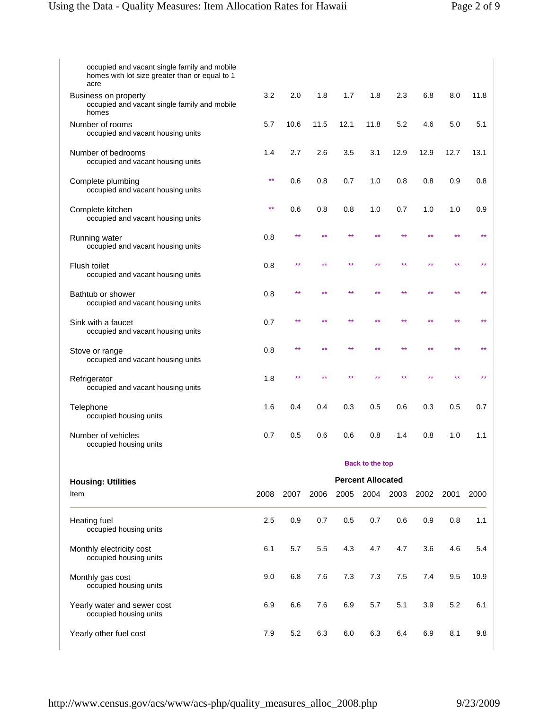| occupied and vacant single family and mobile<br>homes with lot size greater than or equal to 1<br>acre |              |      |      |      |                          |           |      |      |      |
|--------------------------------------------------------------------------------------------------------|--------------|------|------|------|--------------------------|-----------|------|------|------|
| Business on property<br>occupied and vacant single family and mobile<br>homes                          | 3.2          | 2.0  | 1.8  | 1.7  | 1.8                      | 2.3       | 6.8  | 8.0  | 11.8 |
| Number of rooms<br>occupied and vacant housing units                                                   | 5.7          | 10.6 | 11.5 | 12.1 | 11.8                     | 5.2       | 4.6  | 5.0  | 5.1  |
| Number of bedrooms<br>occupied and vacant housing units                                                | 1.4          | 2.7  | 2.6  | 3.5  | 3.1                      | 12.9      | 12.9 | 12.7 | 13.1 |
| Complete plumbing<br>occupied and vacant housing units                                                 | $\star\star$ | 0.6  | 0.8  | 0.7  | 1.0                      | 0.8       | 0.8  | 0.9  | 0.8  |
| Complete kitchen<br>occupied and vacant housing units                                                  | $\star\star$ | 0.6  | 0.8  | 0.8  | 1.0                      | 0.7       | 1.0  | 1.0  | 0.9  |
| Running water<br>occupied and vacant housing units                                                     | 0.8          | **   | **   | **   | **                       | **        | **   |      |      |
| Flush toilet<br>occupied and vacant housing units                                                      | 0.8          | **   | **   | **   |                          | **        |      |      |      |
| Bathtub or shower<br>occupied and vacant housing units                                                 | 0.8          | **   | **   | **   | **                       | **        | **   |      |      |
| Sink with a faucet<br>occupied and vacant housing units                                                | 0.7          | **   |      |      |                          |           |      |      |      |
| Stove or range<br>occupied and vacant housing units                                                    | 0.8          |      |      |      |                          |           |      |      |      |
| Refrigerator<br>occupied and vacant housing units                                                      | 1.8          | **   |      |      |                          |           |      |      |      |
| Telephone<br>occupied housing units                                                                    | 1.6          | 0.4  | 0.4  | 0.3  | 0.5                      | 0.6       | 0.3  | 0.5  | 0.7  |
| Number of vehicles<br>occupied housing units                                                           | 0.7          | 0.5  | 0.6  | 0.6  | 0.8                      | 1.4       | 0.8  | 1.0  | 1.1  |
|                                                                                                        |              |      |      |      | <b>Back to the top</b>   |           |      |      |      |
| <b>Housing: Utilities</b>                                                                              |              |      |      |      | <b>Percent Allocated</b> |           |      |      |      |
| Item                                                                                                   | 2008         | 2007 | 2006 | 2005 |                          | 2004 2003 | 2002 | 2001 | 2000 |
| <b>Heating fuel</b><br>occupied housing units                                                          | 2.5          | 0.9  | 0.7  | 0.5  | 0.7                      | 0.6       | 0.9  | 0.8  | 1.1  |
| Monthly electricity cost<br>occupied housing units                                                     | 6.1          | 5.7  | 5.5  | 4.3  | 4.7                      | 4.7       | 3.6  | 4.6  | 5.4  |
| Monthly gas cost<br>occupied housing units                                                             | 9.0          | 6.8  | 7.6  | 7.3  | 7.3                      | 7.5       | 7.4  | 9.5  | 10.9 |
| Yearly water and sewer cost<br>occupied housing units                                                  | 6.9          | 6.6  | 7.6  | 6.9  | 5.7                      | 5.1       | 3.9  | 5.2  | 6.1  |
| Yearly other fuel cost                                                                                 | 7.9          | 5.2  | 6.3  | 6.0  | 6.3                      | 6.4       | 6.9  | 8.1  | 9.8  |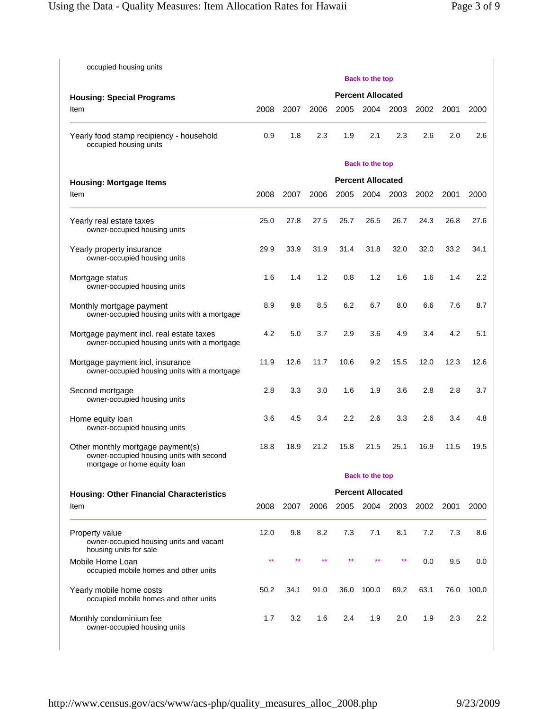| occupied housing units                                                                                        | <b>Back to the top</b>   |      |      |      |                          |      |      |      |                  |  |  |
|---------------------------------------------------------------------------------------------------------------|--------------------------|------|------|------|--------------------------|------|------|------|------------------|--|--|
| <b>Housing: Special Programs</b>                                                                              | <b>Percent Allocated</b> |      |      |      |                          |      |      |      |                  |  |  |
| Item                                                                                                          | 2008                     | 2007 | 2006 | 2005 | 2004                     | 2003 | 2002 | 2001 | 2000             |  |  |
| Yearly food stamp recipiency - household<br>occupied housing units                                            | 0.9                      | 1.8  | 2.3  | 1.9  | 2.1                      | 2.3  | 2.6  | 2.0  | 2.6              |  |  |
|                                                                                                               |                          |      |      |      | <b>Back to the top</b>   |      |      |      |                  |  |  |
| <b>Housing: Mortgage Items</b>                                                                                |                          |      |      |      | <b>Percent Allocated</b> |      |      |      |                  |  |  |
| Item                                                                                                          | 2008                     | 2007 | 2006 | 2005 | 2004                     | 2003 | 2002 | 2001 | 2000             |  |  |
| Yearly real estate taxes<br>owner-occupied housing units                                                      | 25.0                     | 27.8 | 27.5 | 25.7 | 26.5                     | 26.7 | 24.3 | 26.8 | 27.6             |  |  |
| Yearly property insurance<br>owner-occupied housing units                                                     | 29.9                     | 33.9 | 31.9 | 31.4 | 31.8                     | 32.0 | 32.0 | 33.2 | 34.1             |  |  |
| Mortgage status<br>owner-occupied housing units                                                               | 1.6                      | 1.4  | 1.2  | 0.8  | 1.2                      | 1.6  | 1.6  | 1.4  | 2.2              |  |  |
| Monthly mortgage payment<br>owner-occupied housing units with a mortgage                                      | 8.9                      | 9.8  | 8.5  | 6.2  | 6.7                      | 8.0  | 6.6  | 7.6  | 8.7              |  |  |
| Mortgage payment incl. real estate taxes<br>owner-occupied housing units with a mortgage                      | 4.2                      | 5.0  | 3.7  | 2.9  | 3.6                      | 4.9  | 3.4  | 4.2  | 5.1              |  |  |
| Mortgage payment incl. insurance<br>owner-occupied housing units with a mortgage                              | 11.9                     | 12.6 | 11.7 | 10.6 | 9.2                      | 15.5 | 12.0 | 12.3 | 12.6             |  |  |
| Second mortgage<br>owner-occupied housing units                                                               | 2.8                      | 3.3  | 3.0  | 1.6  | 1.9                      | 3.6  | 2.8  | 2.8  | 3.7              |  |  |
| Home equity loan<br>owner-occupied housing units                                                              | 3.6                      | 4.5  | 3.4  | 2.2  | 2.6                      | 3.3  | 2.6  | 3.4  | 4.8              |  |  |
| Other monthly mortgage payment(s)<br>owner-occupied housing units with second<br>mortgage or home equity loan | 18.8                     | 18.9 | 21.2 | 15.8 | 21.5                     | 25.1 | 16.9 | 11.5 | 19.5             |  |  |
|                                                                                                               |                          |      |      |      | <b>Back to the top</b>   |      |      |      |                  |  |  |
| <b>Housing: Other Financial Characteristics</b>                                                               |                          |      |      |      | <b>Percent Allocated</b> |      |      |      |                  |  |  |
| Item                                                                                                          | 2008                     | 2007 | 2006 | 2005 | 2004 2003                |      | 2002 | 2001 | 2000             |  |  |
| Property value<br>owner-occupied housing units and vacant<br>housing units for sale                           | 12.0                     | 9.8  | 8.2  | 7.3  | 7.1                      | 8.1  | 7.2  | 7.3  | 8.6              |  |  |
| Mobile Home Loan<br>occupied mobile homes and other units                                                     | $**$                     | $**$ | $**$ | **   | $**$                     | **   | 0.0  | 9.5  | 0.0              |  |  |
| Yearly mobile home costs<br>occupied mobile homes and other units                                             | 50.2                     | 34.1 | 91.0 | 36.0 | 100.0                    | 69.2 | 63.1 | 76.0 | 100.0            |  |  |
| Monthly condominium fee<br>owner-occupied housing units                                                       | 1.7                      | 3.2  | 1.6  | 2.4  | 1.9                      | 2.0  | 1.9  | 2.3  | $2.2\phantom{0}$ |  |  |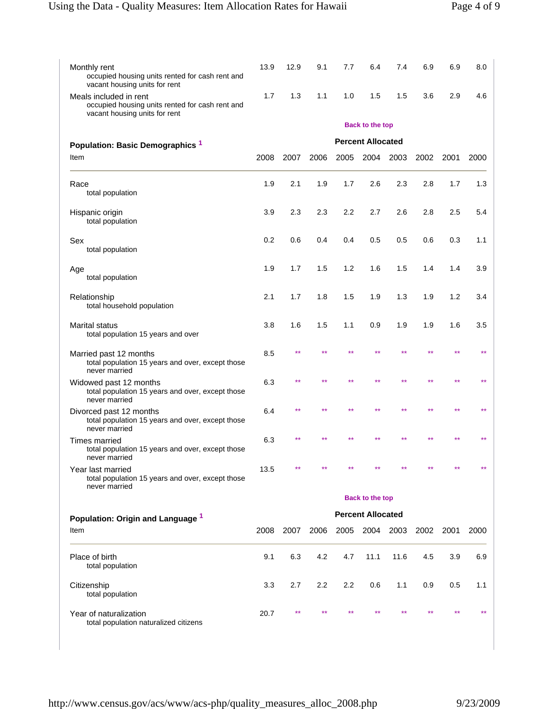| Monthly rent<br>occupied housing units rented for cash rent and<br>vacant housing units for rent           | 13.9 | 12.9  | 9.1  | 7.7   | 6.4                      | 7.4  | 6.9  | 6.9  | 8.0  |
|------------------------------------------------------------------------------------------------------------|------|-------|------|-------|--------------------------|------|------|------|------|
| Meals included in rent<br>occupied housing units rented for cash rent and<br>vacant housing units for rent | 1.7  | 1.3   | 1.1  | 1.0   | 1.5                      | 1.5  | 3.6  | 2.9  | 4.6  |
|                                                                                                            |      |       |      |       | <b>Back to the top</b>   |      |      |      |      |
| Population: Basic Demographics <sup>1</sup>                                                                |      |       |      |       | <b>Percent Allocated</b> |      |      |      |      |
| Item                                                                                                       | 2008 | 2007  | 2006 | 2005  | 2004                     | 2003 | 2002 | 2001 | 2000 |
| Race<br>total population                                                                                   | 1.9  | 2.1   | 1.9  | 1.7   | 2.6                      | 2.3  | 2.8  | 1.7  | 1.3  |
| Hispanic origin<br>total population                                                                        | 3.9  | 2.3   | 2.3  | 2.2   | 2.7                      | 2.6  | 2.8  | 2.5  | 5.4  |
| Sex<br>total population                                                                                    | 0.2  | 0.6   | 0.4  | 0.4   | 0.5                      | 0.5  | 0.6  | 0.3  | 1.1  |
| Age<br>total population                                                                                    | 1.9  | 1.7   | 1.5  | 1.2   | 1.6                      | 1.5  | 1.4  | 1.4  | 3.9  |
| Relationship<br>total household population                                                                 | 2.1  | 1.7   | 1.8  | 1.5   | 1.9                      | 1.3  | 1.9  | 1.2  | 3.4  |
| Marital status<br>total population 15 years and over                                                       | 3.8  | 1.6   | 1.5  | 1.1   | 0.9                      | 1.9  | 1.9  | 1.6  | 3.5  |
| Married past 12 months<br>total population 15 years and over, except those<br>never married                | 8.5  | $***$ | **   | $***$ | **                       | **   | **   |      |      |
| Widowed past 12 months<br>total population 15 years and over, except those<br>never married                | 6.3  | $***$ |      |       |                          |      |      |      |      |
| Divorced past 12 months<br>total population 15 years and over, except those<br>never married               | 6.4  | **    | **   | **    |                          |      | **   |      |      |
| <b>Times married</b><br>total population 15 years and over, except those<br>never married                  | 6.3  |       |      |       |                          |      |      |      |      |
| Year last married<br>total population 15 years and over, except those<br>never married                     | 13.5 |       |      |       |                          |      |      |      |      |
|                                                                                                            |      |       |      |       | <b>Back to the top</b>   |      |      |      |      |
| Population: Origin and Language 1                                                                          |      |       |      |       | <b>Percent Allocated</b> |      |      |      |      |
| Item                                                                                                       | 2008 | 2007  | 2006 |       | 2005 2004 2003           |      | 2002 | 2001 | 2000 |
| Place of birth<br>total population                                                                         | 9.1  | 6.3   | 4.2  | 4.7   | 11.1                     | 11.6 | 4.5  | 3.9  | 6.9  |
| Citizenship<br>total population                                                                            | 3.3  | 2.7   | 2.2  | 2.2   | 0.6                      | 1.1  | 0.9  | 0.5  | 1.1  |
| Year of naturalization<br>total population naturalized citizens                                            | 20.7 |       |      |       |                          |      |      |      |      |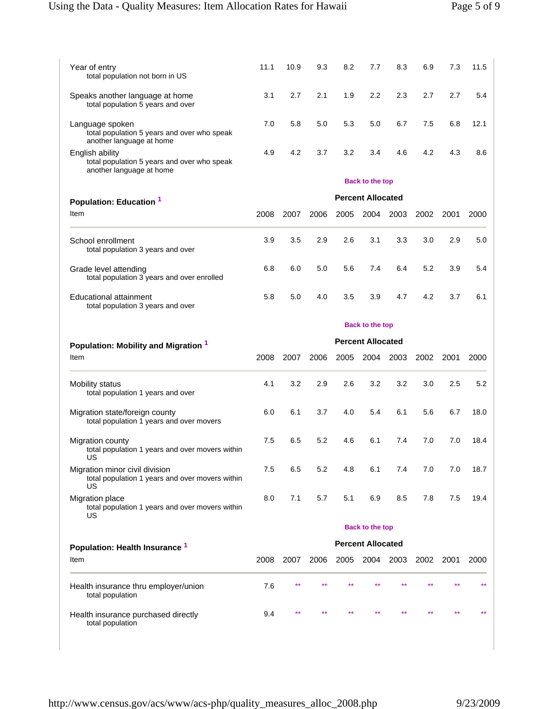| Year of entry<br>total population not born in US                                           | 11.1 | 10.9 | 9.3  | 8.2  | 7.7                      | 8.3       | 6.9  | 7.3  | 11.5 |
|--------------------------------------------------------------------------------------------|------|------|------|------|--------------------------|-----------|------|------|------|
| Speaks another language at home<br>total population 5 years and over                       | 3.1  | 2.7  | 2.1  | 1.9  | 2.2                      | 2.3       | 2.7  | 2.7  | 5.4  |
| Language spoken<br>total population 5 years and over who speak<br>another language at home | 7.0  | 5.8  | 5.0  | 5.3  | 5.0                      | 6.7       | 7.5  | 6.8  | 12.1 |
| English ability<br>total population 5 years and over who speak<br>another language at home | 4.9  | 4.2  | 3.7  | 3.2  | 3.4                      | 4.6       | 4.2  | 4.3  | 8.6  |
|                                                                                            |      |      |      |      | <b>Back to the top</b>   |           |      |      |      |
| Population: Education 1                                                                    |      |      |      |      | <b>Percent Allocated</b> |           |      |      |      |
| Item                                                                                       | 2008 | 2007 | 2006 | 2005 | 2004                     | 2003      | 2002 | 2001 | 2000 |
| School enrollment<br>total population 3 years and over                                     | 3.9  | 3.5  | 2.9  | 2.6  | 3.1                      | 3.3       | 3.0  | 2.9  | 5.0  |
| Grade level attending<br>total population 3 years and over enrolled                        | 6.8  | 6.0  | 5.0  | 5.6  | 7.4                      | 6.4       | 5.2  | 3.9  | 5.4  |
| Educational attainment<br>total population 3 years and over                                | 5.8  | 5.0  | 4.0  | 3.5  | 3.9                      | 4.7       | 4.2  | 3.7  | 6.1  |
|                                                                                            |      |      |      |      | <b>Back to the top</b>   |           |      |      |      |
|                                                                                            |      |      |      |      |                          |           |      |      |      |
| Population: Mobility and Migration 1                                                       |      |      |      |      | <b>Percent Allocated</b> |           |      |      |      |
| Item                                                                                       | 2008 | 2007 | 2006 | 2005 | 2004                     | 2003      | 2002 | 2001 | 2000 |
| Mobility status<br>total population 1 years and over                                       | 4.1  | 3.2  | 2.9  | 2.6  | 3.2                      | 3.2       | 3.0  | 2.5  | 5.2  |
| Migration state/foreign county<br>total population 1 years and over movers                 | 6.0  | 6.1  | 3.7  | 4.0  | 5.4                      | 6.1       | 5.6  | 6.7  | 18.0 |
| <b>Migration county</b><br>total population 1 years and over movers within<br>US           | 7.5  | 6.5  | 5.2  | 4.6  | 6.1                      | 7.4       | 7.0  | 7.0  | 18.4 |
| Migration minor civil division<br>total population 1 years and over movers within<br>US    | 7.5  | 6.5  | 5.2  | 4.8  | 6.1                      | 7.4       | 7.0  | 7.0  | 18.7 |
| <b>Migration place</b><br>total population 1 years and over movers within<br>US            | 8.0  | 7.1  | 5.7  | 5.1  | 6.9                      | 8.5       | 7.8  | 7.5  | 19.4 |
|                                                                                            |      |      |      |      | <b>Back to the top</b>   |           |      |      |      |
| Population: Health Insurance <sup>1</sup>                                                  |      |      |      |      | <b>Percent Allocated</b> |           |      |      |      |
| Item                                                                                       | 2008 | 2007 | 2006 | 2005 |                          | 2004 2003 | 2002 | 2001 | 2000 |
| Health insurance thru employer/union<br>total population                                   | 7.6  |      |      |      |                          |           |      |      | **   |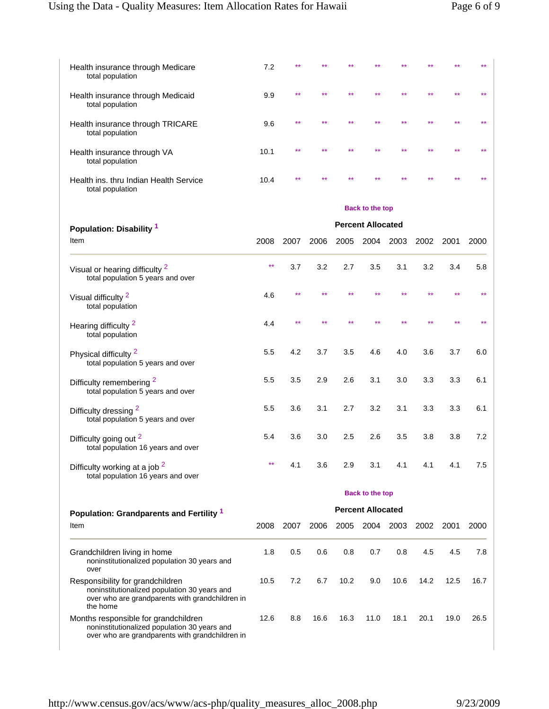| Health insurance through Medicare<br>total population                                                                                           | 7.2   |      |      |      |                          |         |      |      |      |
|-------------------------------------------------------------------------------------------------------------------------------------------------|-------|------|------|------|--------------------------|---------|------|------|------|
| Health insurance through Medicaid<br>total population                                                                                           | 9.9   |      |      |      |                          |         |      |      |      |
| Health insurance through TRICARE<br>total population                                                                                            | 9.6   |      |      |      |                          |         |      |      |      |
| Health insurance through VA<br>total population                                                                                                 | 10.1  |      |      |      |                          |         |      |      |      |
| Health ins. thru Indian Health Service<br>total population                                                                                      | 10.4  |      |      |      |                          |         |      |      |      |
|                                                                                                                                                 |       |      |      |      | <b>Back to the top</b>   |         |      |      |      |
| Population: Disability 1                                                                                                                        |       |      |      |      | <b>Percent Allocated</b> |         |      |      |      |
| Item                                                                                                                                            | 2008  | 2007 | 2006 | 2005 | 2004                     | 2003    | 2002 | 2001 | 2000 |
|                                                                                                                                                 |       |      |      |      |                          |         |      |      |      |
| Visual or hearing difficulty <sup>2</sup><br>total population 5 years and over                                                                  | **    | 3.7  | 3.2  | 2.7  | 3.5                      | 3.1     | 3.2  | 3.4  | 5.8  |
| Visual difficulty <sup>2</sup><br>total population                                                                                              | 4.6   |      |      |      |                          |         |      |      |      |
| Hearing difficulty <sup>2</sup><br>total population                                                                                             | 4.4   |      |      |      |                          |         |      |      |      |
| Physical difficulty <sup>2</sup><br>total population 5 years and over                                                                           | 5.5   | 4.2  | 3.7  | 3.5  | 4.6                      | 4.0     | 3.6  | 3.7  | 6.0  |
| Difficulty remembering <sup>2</sup><br>total population 5 years and over                                                                        | 5.5   | 3.5  | 2.9  | 2.6  | 3.1                      | 3.0     | 3.3  | 3.3  | 6.1  |
| Difficulty dressing <sup>2</sup><br>total population 5 years and over                                                                           | 5.5   | 3.6  | 3.1  | 2.7  | 3.2                      | 3.1     | 3.3  | 3.3  | 6.1  |
| Difficulty going out <sup>2</sup><br>total population 16 years and over                                                                         | 5.4   | 3.6  | 3.0  | 2.5  | 2.6                      | 3.5     | 3.8  | 3.8  | 7.2  |
| Difficulty working at a job <sup>2</sup><br>total population 16 years and over                                                                  | $***$ | 4.1  | 3.6  | 2.9  | 3.1                      | 4.1     | 4.1  | 4.1  | 7.5  |
|                                                                                                                                                 |       |      |      |      | <b>Back to the top</b>   |         |      |      |      |
| Population: Grandparents and Fertility 1                                                                                                        |       |      |      |      | <b>Percent Allocated</b> |         |      |      |      |
| Item                                                                                                                                            | 2008  | 2007 | 2006 | 2005 | 2004                     | 2003    | 2002 | 2001 | 2000 |
| Grandchildren living in home<br>noninstitutionalized population 30 years and<br>over                                                            | 1.8   | 0.5  | 0.6  | 0.8  | 0.7                      | $0.8\,$ | 4.5  | 4.5  | 7.8  |
| Responsibility for grandchildren<br>noninstitutionalized population 30 years and<br>over who are grandparents with grandchildren in<br>the home | 10.5  | 7.2  | 6.7  | 10.2 | 9.0                      | 10.6    | 14.2 | 12.5 | 16.7 |
| Months responsible for grandchildren<br>noninstitutionalized population 30 years and<br>over who are grandparents with grandchildren in         | 12.6  | 8.8  | 16.6 | 16.3 | 11.0                     | 18.1    | 20.1 | 19.0 | 26.5 |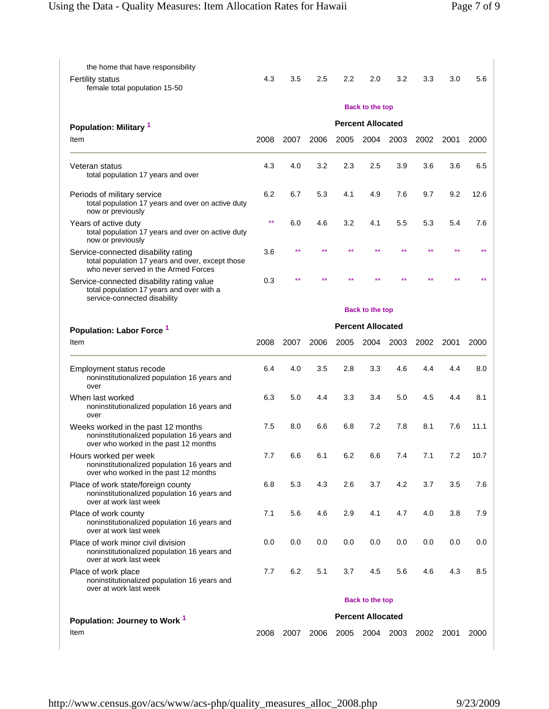the home that have responsibility

female total population 15-50

Fertility status

| on Rates for Hawaii |     |     |     |                          |     | Page 7 of 9                        |     |      |  |  |
|---------------------|-----|-----|-----|--------------------------|-----|------------------------------------|-----|------|--|--|
|                     |     |     |     |                          |     |                                    |     |      |  |  |
|                     |     |     |     |                          |     |                                    |     |      |  |  |
| 4.3                 | 3.5 | 2.5 | 2.2 | 2.0                      | 3.2 | 3.3                                | 3.0 | 5.6  |  |  |
|                     |     |     |     | <b>Back to the top</b>   |     |                                    |     |      |  |  |
|                     |     |     |     | <b>Percent Allocated</b> |     |                                    |     |      |  |  |
| 800                 |     |     |     |                          |     | 2007 2006 2005 2004 2003 2002 2001 |     | 2000 |  |  |
| 4.3                 | 4.0 | 3.2 | 2.3 | 2.5                      | 3.9 | 3.6                                | 3.6 | 6.5  |  |  |

| Population: Military 1                                                                                                          | Percent Allocated        |                          |      |      |           |      |      |      |      |  |
|---------------------------------------------------------------------------------------------------------------------------------|--------------------------|--------------------------|------|------|-----------|------|------|------|------|--|
| Item                                                                                                                            | 2008                     | 2007                     | 2006 | 2005 | 2004      | 2003 | 2002 | 2001 | 2000 |  |
| Veteran status<br>total population 17 years and over                                                                            | 4.3                      | 4.0                      | 3.2  | 2.3  | 2.5       | 3.9  | 3.6  | 3.6  | 6.5  |  |
| Periods of military service<br>total population 17 years and over on active duty<br>now or previously                           | 6.2                      | 6.7                      | 5.3  | 4.1  | 4.9       | 7.6  | 9.7  | 9.2  | 12.6 |  |
| Years of active duty<br>total population 17 years and over on active duty<br>now or previously                                  | $\star\star$             | 6.0                      | 4.6  | 3.2  | 4.1       | 5.5  | 5.3  | 5.4  | 7.6  |  |
| Service-connected disability rating<br>total population 17 years and over, except those<br>who never served in the Armed Forces | 3.6                      | **                       |      | **   |           | **   | **   |      |      |  |
| Service-connected disability rating value<br>total population 17 years and over with a<br>service-connected disability          | 0.3                      |                          |      |      |           |      |      |      |      |  |
|                                                                                                                                 | <b>Back to the top</b>   |                          |      |      |           |      |      |      |      |  |
| Population: Labor Force <sup>1</sup>                                                                                            |                          | <b>Percent Allocated</b> |      |      |           |      |      |      |      |  |
| Item                                                                                                                            | 2008                     | 2007                     | 2006 | 2005 | 2004      | 2003 | 2002 | 2001 | 2000 |  |
| Employment status recode<br>noninstitutionalized population 16 years and<br>over                                                | 6.4                      | 4.0                      | 3.5  | 2.8  | 3.3       | 4.6  | 4.4  | 4.4  | 8.0  |  |
| When last worked<br>noninstitutionalized population 16 years and<br>over                                                        | 6.3                      | 5.0                      | 4.4  | 3.3  | 3.4       | 5.0  | 4.5  | 4.4  | 8.1  |  |
| Weeks worked in the past 12 months<br>noninstitutionalized population 16 years and<br>over who worked in the past 12 months     | 7.5                      | 8.0                      | 6.6  | 6.8  | 7.2       | 7.8  | 8.1  | 7.6  | 11.1 |  |
| Hours worked per week<br>noninstitutionalized population 16 years and<br>over who worked in the past 12 months                  | 7.7                      | 6.6                      | 6.1  | 6.2  | 6.6       | 7.4  | 7.1  | 7.2  | 10.7 |  |
| Place of work state/foreign county<br>noninstitutionalized population 16 years and<br>over at work last week                    | 6.8                      | 5.3                      | 4.3  | 2.6  | 3.7       | 4.2  | 3.7  | 3.5  | 7.6  |  |
| Place of work county<br>noninstitutionalized population 16 years and<br>over at work last week                                  | 7.1                      | 5.6                      | 4.6  | 2.9  | 4.1       | 4.7  | 4.0  | 3.8  | 7.9  |  |
| Place of work minor civil division<br>noninstitutionalized population 16 years and<br>over at work last week                    | 0.0                      | 0.0                      | 0.0  | 0.0  | 0.0       | 0.0  | 0.0  | 0.0  | 0.0  |  |
| Place of work place<br>noninstitutionalized population 16 years and<br>over at work last week                                   | 7.7                      | 6.2                      | 5.1  | 3.7  | 4.5       | 5.6  | 4.6  | 4.3  | 8.5  |  |
|                                                                                                                                 | <b>Back to the top</b>   |                          |      |      |           |      |      |      |      |  |
| Population: Journey to Work <sup>1</sup>                                                                                        | <b>Percent Allocated</b> |                          |      |      |           |      |      |      |      |  |
| Item                                                                                                                            | 2008                     | 2007                     | 2006 |      | 2005 2004 | 2003 | 2002 | 2001 | 2000 |  |
|                                                                                                                                 |                          |                          |      |      |           |      |      |      |      |  |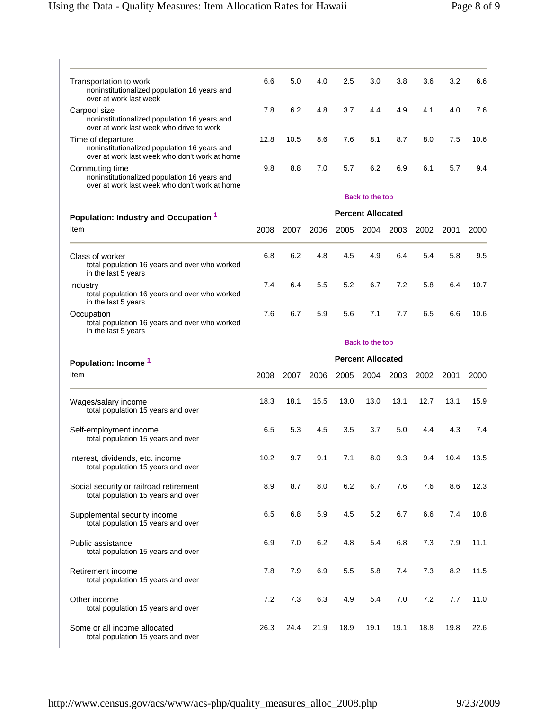| Transportation to work<br>noninstitutionalized population 16 years and<br>over at work last week                   | 6.6                      | 5.0                    | 4.0  | 2.5  | 3.0                      | 3.8  | 3.6  | 3.2  | 6.6                  |  |
|--------------------------------------------------------------------------------------------------------------------|--------------------------|------------------------|------|------|--------------------------|------|------|------|----------------------|--|
| Carpool size<br>noninstitutionalized population 16 years and<br>over at work last week who drive to work           |                          | 6.2                    | 4.8  | 3.7  | 4.4                      | 4.9  | 4.1  | 4.0  | 7.6                  |  |
| Time of departure<br>noninstitutionalized population 16 years and<br>over at work last week who don't work at home | 12.8                     | 10.5                   | 8.6  | 7.6  | 8.1                      | 8.7  | 8.0  | 7.5  | 10.6                 |  |
| Commuting time<br>noninstitutionalized population 16 years and<br>over at work last week who don't work at home    |                          | 8.8                    | 7.0  | 5.7  | 6.2                      | 6.9  | 6.1  | 5.7  | 9.4                  |  |
|                                                                                                                    |                          | <b>Back to the top</b> |      |      |                          |      |      |      |                      |  |
| Population: Industry and Occupation 1                                                                              |                          |                        |      |      | <b>Percent Allocated</b> |      |      |      |                      |  |
| Item                                                                                                               | 2008                     | 2007                   | 2006 | 2005 | 2004                     | 2003 | 2002 | 2001 | 2000                 |  |
| Class of worker<br>total population 16 years and over who worked<br>in the last 5 years                            | 6.8                      | 6.2                    | 4.8  | 4.5  | 4.9                      | 6.4  | 5.4  | 5.8  | 9.5                  |  |
| Industry<br>total population 16 years and over who worked<br>in the last 5 years                                   | 7.4                      | 6.4                    | 5.5  | 5.2  | 6.7                      | 7.2  | 5.8  | 6.4  | 10.7                 |  |
| Occupation<br>total population 16 years and over who worked<br>in the last 5 years                                 | 7.6                      | 6.7                    | 5.9  | 5.6  | 7.1                      | 7.7  | 6.5  | 6.6  | 10.6                 |  |
|                                                                                                                    |                          | <b>Back to the top</b> |      |      |                          |      |      |      |                      |  |
| Population: Income <sup>1</sup>                                                                                    | <b>Percent Allocated</b> |                        |      |      |                          |      |      |      |                      |  |
| Item                                                                                                               | 2008                     | 2007                   | 2006 | 2005 | 2004                     | 2003 | 2002 | 2001 | 2000                 |  |
| Wages/salary income<br>total population 15 years and over                                                          | 18.3                     | 18.1                   | 15.5 | 13.0 | 13.0                     | 13.1 | 12.7 | 13.1 | 15.9                 |  |
| Self-employment income<br>total population 15 years and over                                                       | 6.5                      | 5.3                    | 4.5  | 3.5  | 3.7                      | 5.0  | 4.4  | 4.3  | 7.4                  |  |
| Interest, dividends, etc. income<br>total population 15 years and over                                             | 10.2                     | 9.7                    | 9.1  | 7.1  | 8.0                      | 9.3  | 9.4  | 10.4 | 13.5                 |  |
| Social security or railroad retirement<br>total population 15 years and over                                       | 8.9                      | 8.7                    | 8.0  | 6.2  | 6.7                      | 7.6  | 7.6  | 8.6  | 12.3                 |  |
| Supplemental security income<br>total population 15 years and over                                                 | 6.5                      | 6.8                    | 5.9  | 4.5  | 5.2                      | 6.7  | 6.6  | 7.4  | 10.8                 |  |
|                                                                                                                    |                          |                        |      |      |                          |      |      |      |                      |  |
| total population 15 years and over                                                                                 | 6.9                      | 7.0                    | 6.2  | 4.8  | 5.4                      | 6.8  | 7.3  | 7.9  |                      |  |
| total population 15 years and over                                                                                 | 7.8                      | 7.9                    | 6.9  | 5.5  | 5.8                      | 7.4  | 7.3  | 8.2  |                      |  |
| Public assistance<br>Retirement income<br>Other income<br>total population 15 years and over                       | 7.2                      | 7.3                    | 6.3  | 4.9  | 5.4                      | 7.0  | 7.2  | 7.7  | 11.1<br>11.5<br>11.0 |  |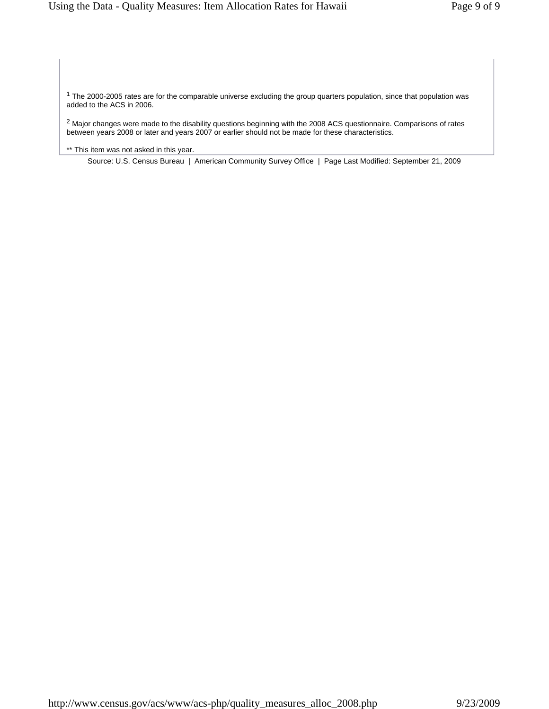$1$  The 2000-2005 rates are for the comparable universe excluding the group quarters population, since that population was added to the ACS in 2006.

 $^2$  Major changes were made to the disability questions beginning with the 2008 ACS questionnaire. Comparisons of rates between years 2008 or later and years 2007 or earlier should not be made for these characteristics.

\*\* This item was not asked in this year.

Source: U.S. Census Bureau | American Community Survey Office | Page Last Modified: September 21, 2009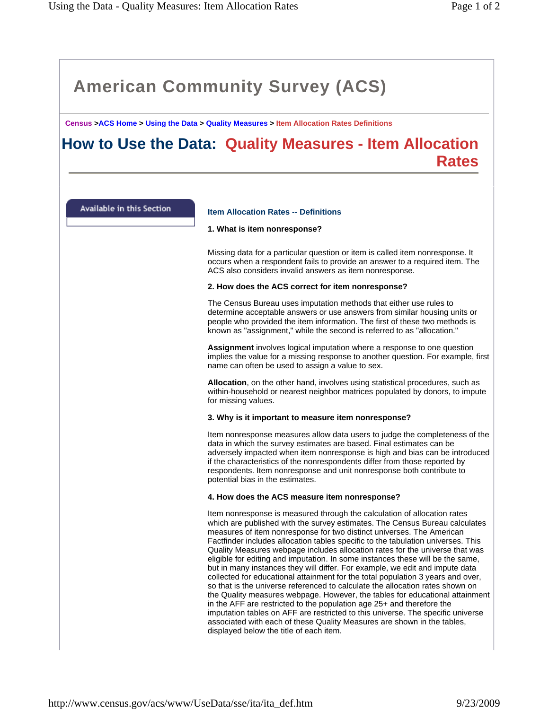**Census >ACS Home > Using the Data > Quality Measures > Item Allocation Rates Definitions**

# **How to Use the Data: Quality Measures - Item Allocation Rates**

Available in this Section

# **Item Allocation Rates -- Definitions**

### **1. What is item nonresponse?**

Missing data for a particular question or item is called item nonresponse. It occurs when a respondent fails to provide an answer to a required item. The ACS also considers invalid answers as item nonresponse.

### **2. How does the ACS correct for item nonresponse?**

The Census Bureau uses imputation methods that either use rules to determine acceptable answers or use answers from similar housing units or people who provided the item information. The first of these two methods is known as "assignment," while the second is referred to as "allocation."

**Assignment** involves logical imputation where a response to one question implies the value for a missing response to another question. For example, first name can often be used to assign a value to sex.

**Allocation**, on the other hand, involves using statistical procedures, such as within-household or nearest neighbor matrices populated by donors, to impute for missing values.

# **3. Why is it important to measure item nonresponse?**

Item nonresponse measures allow data users to judge the completeness of the data in which the survey estimates are based. Final estimates can be adversely impacted when item nonresponse is high and bias can be introduced if the characteristics of the nonrespondents differ from those reported by respondents. Item nonresponse and unit nonresponse both contribute to potential bias in the estimates.

#### **4. How does the ACS measure item nonresponse?**

Item nonresponse is measured through the calculation of allocation rates which are published with the survey estimates. The Census Bureau calculates measures of item nonresponse for two distinct universes. The American Factfinder includes allocation tables specific to the tabulation universes. This Quality Measures webpage includes allocation rates for the universe that was eligible for editing and imputation. In some instances these will be the same, but in many instances they will differ. For example, we edit and impute data collected for educational attainment for the total population 3 years and over, so that is the universe referenced to calculate the allocation rates shown on the Quality measures webpage. However, the tables for educational attainment in the AFF are restricted to the population age 25+ and therefore the imputation tables on AFF are restricted to this universe. The specific universe associated with each of these Quality Measures are shown in the tables, displayed below the title of each item.